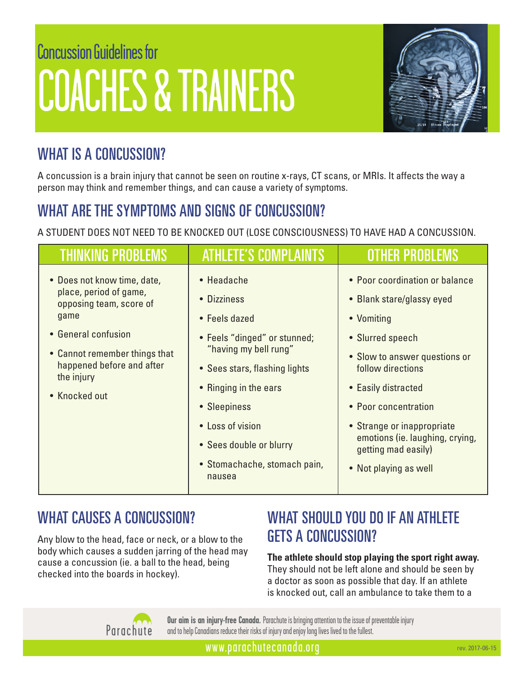# Concussion Guidelines for COACHES & TRAINERS



### WHAT IS A CONCUSSION?

A concussion is a brain injury that cannot be seen on routine x-rays, CT scans, or MRIs. It affects the way a person may think and remember things, and can cause a variety of symptoms.

### WHAT ARE THE SYMPTOMS AND SIGNS OF CONCUSSION?

A STUDENT DOES NOT NEED TO BE KNOCKED OUT (LOSE CONSCIOUSNESS) TO HAVE HAD A CONCUSSION.

| <b>THINKING PROBLEMS</b>                                                                                                                                                                                     | <b>ATHLETE'S COMPLAINTS</b>                                                                                                                                                                                                                                            | OTHER PROBLE                                                                                                                                                                                                                                                                                                        |
|--------------------------------------------------------------------------------------------------------------------------------------------------------------------------------------------------------------|------------------------------------------------------------------------------------------------------------------------------------------------------------------------------------------------------------------------------------------------------------------------|---------------------------------------------------------------------------------------------------------------------------------------------------------------------------------------------------------------------------------------------------------------------------------------------------------------------|
| • Does not know time, date,<br>place, period of game,<br>opposing team, score of<br>game<br>• General confusion<br>• Cannot remember things that<br>happened before and after<br>the injury<br>• Knocked out | • Headache<br>• Dizziness<br>• Feels dazed<br>• Feels "dinged" or stunned;<br>"having my bell rung"<br>• Sees stars, flashing lights<br>• Ringing in the ears<br>• Sleepiness<br>• Loss of vision<br>• Sees double or blurry<br>• Stomachache, stomach pain,<br>nausea | • Poor coordination or balance<br>• Blank stare/glassy eyed<br>• Vomiting<br>• Slurred speech<br>• Slow to answer questions or<br>follow directions<br>• Easily distracted<br>• Poor concentration<br>• Strange or inappropriate<br>emotions (ie. laughing, crying,<br>getting mad easily)<br>• Not playing as well |

### WHAT CAUSES A CONCUSSION?

Any blow to the head, face or neck, or a blow to the body which causes a sudden jarring of the head may cause a concussion (ie. a ball to the head, being checked into the boards in hockey).

### WHAT SHOULD YOU DO IF AN ATHLETE GETS A CONCUSSION?

#### **The athlete should stop playing the sport right away.**  They should not be left alone and should be seen by a doctor as soon as possible that day. If an athlete is knocked out, call an ambulance to take them to a



**Our aim is an injury-free Canada.** Parachute is bringing attention to the issue of preventable injury and to help Canadians reduce their risks of injury and enjoy long lives lived to the fullest.